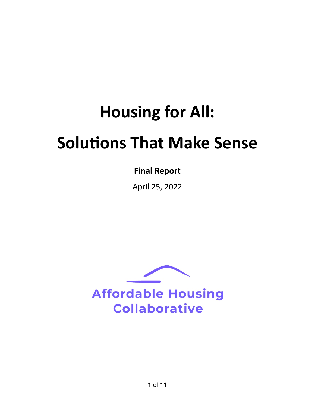# **Housing for All: Solutions That Make Sense**

## **Final Report**

April 25, 2022

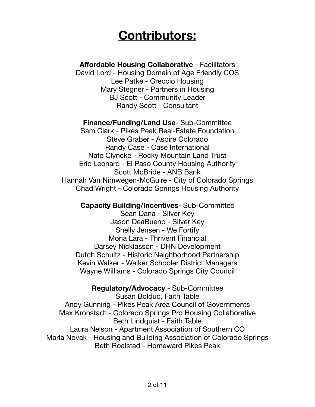# **Contributors:**

**Affordable Housing Collaborative** - Facilitators

David Lord - Housing Domain of Age Friendly COS Lee Patke - Greccio Housing Mary Stegner - Partners in Housing BJ Scott - Community Leader Randy Scott - Consultant

**Finance/Funding/Land Use**- Sub-Committee Sam Clark - Pikes Peak Real-Estate Foundation Steve Graber - Aspire Colorado Randy Case - Case International

Nate Clyncke - Rocky Mountain Land Trust Eric Leonard - El Paso County Housing Authority Scott McBride - ANB Bank Hannah Van Nimwegen-McGuire - City of Colorado Springs Chad Wright - Colorado Springs Housing Authority

**Capacity Building/Incentives**- Sub-Committee

Sean Dana - Silver Key Jason DeaBueno - Silver Key Shelly Jensen - We Fortify Mona Lara - Thrivent Financial Darsey Nicklasson - DHN Development Dutch Schultz - Historic Neighborhood Partnership Kevin Walker - Walker Schooler District Managers Wayne Williams - Colorado Springs City Council

**Regulatory/Advocacy** - Sub-Committee

Susan Bolduc, Faith Table Andy Gunning - Pikes Peak Area Council of Governments Max Kronstadt - Colorado Springs Pro Housing Collaborative Beth Lindquist - Faith Table Laura Nelson - Apartment Association of Southern CO Marla Novak - Housing and Building Association of Colorado Springs Beth Roalstad - Homeward Pikes Peak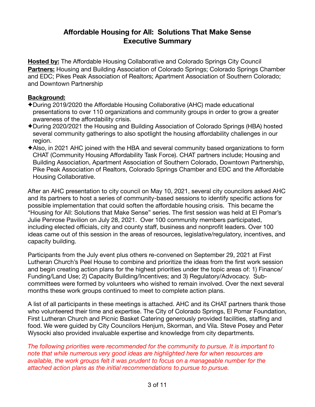## **Affordable Housing for All: Solutions That Make Sense Executive Summary**

**Hosted by:** The Affordable Housing Collaborative and Colorado Springs City Council **Partners:** Housing and Building Association of Colorado Springs; Colorado Springs Chamber and EDC; Pikes Peak Association of Realtors; Apartment Association of Southern Colorado; and Downtown Partnership

#### **Background:**

- ✦During 2019/2020 the Affordable Housing Collaborative (AHC) made educational presentations to over 110 organizations and community groups in order to grow a greater awareness of the affordability crisis.
- ✦During 2020/2021 the Housing and Building Association of Colorado Springs (HBA) hosted several community gatherings to also spotlight the housing affordability challenges in our region.
- ✦Also, in 2021 AHC joined with the HBA and several community based organizations to form CHAT (Community Housing Affordability Task Force). CHAT partners include; Housing and Building Association, Apartment Association of Southern Colorado, Downtown Partnership, Pike Peak Association of Realtors, Colorado Springs Chamber and EDC and the Affordable Housing Collaborative.

After an AHC presentation to city council on May 10, 2021, several city councilors asked AHC and its partners to host a series of community-based sessions to identify specific actions for possible implementation that could soften the affordable housing crisis. This became the "Housing for All: Solutions that Make Sense" series. The first session was held at El Pomar's Julie Penrose Pavilion on July 28, 2021. Over 100 community members participated, including elected officials, city and county staff, business and nonprofit leaders. Over 100 ideas came out of this session in the areas of resources, legislative/regulatory, incentives, and capacity building.

Participants from the July event plus others re-convened on September 29, 2021 at First Lutheran Church's Peel House to combine and prioritize the ideas from the first work session and begin creating action plans for the highest priorities under the topic areas of: 1) Finance/ Funding/Land Use; 2) Capacity Building/Incentives; and 3) Regulatory/Advocacy. Subcommittees were formed by volunteers who wished to remain involved. Over the next several months these work groups continued to meet to complete action plans.

A list of all participants in these meetings is attached. AHC and its CHAT partners thank those who volunteered their time and expertise. The City of Colorado Springs, El Pomar Foundation, First Lutheran Church and Picnic Basket Catering generously provided facilities, staffing and food. We were guided by City Councilors Henjum, Skorman, and Vila. Steve Posey and Peter Wysocki also provided invaluable expertise and knowledge from city departments.

*The following priorities were recommended for the community to pursue. It is important to note that while numerous very good ideas are highlighted here for when resources are available, the work groups felt it was prudent to focus on a manageable number for the attached action plans as the initial recommendations to pursue to pursue.*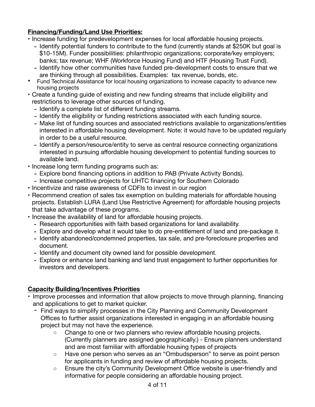### **Financing/Funding/Land Use Priorities:**

- Increase funding for predevelopment expenses for local affordable housing projects.
	- Identify potential funders to contribute to the fund (currently stands at \$250K but goal is \$10-15M). Funder possibilities: philanthropic organizations; corporate/key employers; banks; tax revenue; WHF (Workforce Housing Fund) and HTF (Housing Trust Fund).
	- Identify how other communities have funded pre-development costs to ensure that we are thinking through all possibilities. Examples: tax revenue, bonds, etc.
- Fund Technical Assistance for local housing organizations to increase capacity to advance new housing projects
- Create a funding guide of existing and new funding streams that include eligibility and restrictions to leverage other sources of funding.
	- Identify a complete list of different funding streams.
	- Identify the eligibility or funding restrictions associated with each funding source.
	- Make list of funding sources and associated restrictions available to organizations/entities interested in affordable housing development. Note: it would have to be updated regularly in order to be a useful resource.
	- Identify a person/resource/entity to serve as central resource connecting organizations interested in pursuing affordable housing development to potential funding sources to available land.
- Increase long term funding programs such as:
	- Explore bond financing options in addition to PAB (Private Activity Bonds).
	- Increase competitive projects for LIHTC financing for Southern Colorado
- Incentivize and raise awareness of CDFIs to invest in our region
- Recommend creation of sales tax exemption on building materials for affordable housing projects. Establish LURA (Land Use Restrictive Agreement) for affordable housing projects that take advantage of these programs.
- Increase the availability of land for affordable housing projects.
	- Research opportunities with faith based organizations for land availability.
	- Explore and develop what it would take to do pre-entitlement of land and pre-package it.
	- Identify abandoned/condemned properties, tax sale, and pre-foreclosure properties and document.
	- Identify and document city owned land for possible development.
	- Explore or enhance land banking and land trust engagement to further opportunities for investors and developers.

#### **Capacity Building/Incentives Priorities**

- Improve processes and information that allow projects to move through planning, financing and applications to get to market quicker.
	- Find ways to simplify processes in the City Planning and Community Development Offices to further assist organizations interested in engaging in an affordable housing project but may not have the experience.
		- Change to one or two planners who review affordable housing projects. (Currently planners are assigned geographically.) - Ensure planners understand and are most familiar with affordable housing types of projects
		- Have one person who serves as an "Ombudsperson" to serve as point person for applicants in funding and review of affordable housing projects.
		- Ensure the city's Community Development Office website is user-friendly and informative for people considering an affordable housing project.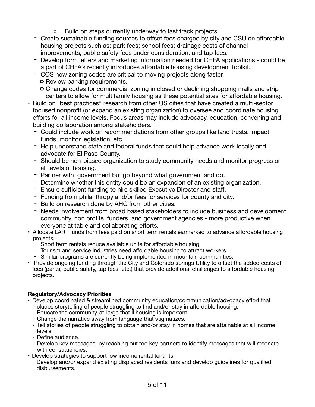- Build on steps currently underway to fast track projects.
- Create sustainable funding sources to offset fees charged by city and CSU on affordable housing projects such as: park fees; school fees; drainage costs of channel improvements; public safety fees under consideration; and tap fees.
- Develop form letters and marketing information needed for CHFA applications could be a part of CHFA's recently introduces affordable housing development toolkit.
- COS new zoning codes are critical to moving projects along faster.
	- o Review parking requirements.
	- Change codes for commercial zoning in closed or declining shopping malls and strip centers to allow for multifamily housing as these potential sites for affordable housing.
- Build on "best practices" research from other US cities that have created a multi-sector focused nonprofit (or expand an existing organization) to oversee and coordinate housing efforts for all income levels. Focus areas may include advocacy, education, convening and building collaboration among stakeholders.
	- Could include work on recommendations from other groups like land trusts, impact funds, monitor legislation, etc.
	- Help understand state and federal funds that could help advance work locally and advocate for El Paso County.
	- Should be non-biased organization to study community needs and monitor progress on all levels of housing.
	- Partner with government but go beyond what government and do.
	- Determine whether this entity could be an expansion of an existing organization.
	- Ensure sufficient funding to hire skilled Executive Director and staff.
	- Funding from philanthropy and/or fees for services for county and city.
	- Build on research done by AHC from other cities.
	- Needs involvement from broad based stakeholders to include business and development community, non profits, funders, and government agencies - more productive when everyone at table and collaborating efforts.
- Allocate LART funds from fees paid on short term rentals earmarked to advance affordable housing projects.
	- Short term rentals reduce available units for affordable housing.
	- Tourism and service industries need affordable housing to attract workers.
	- Similar programs are currently being implemented in mountain communities.
- ‣ Provide ongoing funding through the City and Colorado springs Utility to offset the added costs of fees (parks, public safety, tap fees, etc.) that provide additional challenges to affordable housing projects.

#### **Regulatory/Advocacy Priorities**

- Develop coordinated & streamlined community education/communication/advocacy effort that includes storytelling of people struggling to find and/or stay in affordable housing.
	- Educate the community-at-large that ll housing is important.
	- Change the narrative away from language that stigmatizes.
	- Tell stories of people struggling to obtain and/or stay in homes that are attainable at all income levels.
	- Define audience.
	- Develop key messages by reaching out too key partners to identify messages that will resonate with constituencies.
- Develop strategies to support low income rental tenants.
	- Develop and/or expand existing displaced residents funs and develop guidelines for qualified disbursements.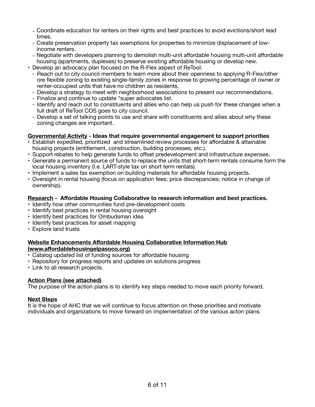- Coordinate education for renters on their rights and best practices to avoid evictions/short lead times.
- Create preservation property tax exemptions for properties to minimize displacement of lowincome renters.
- Negotiate with developers planning to demolish multi-unit affordable housing multi-unit affordable housing (apartments, duplexes) to preserve existing affordable housing or develop new.
- Develop an advocacy plan focused on the R-Flex aspect of ReTool.
	- Reach out to city council members to learn more about their openness to applying R-Flex/other ore flexible zoning to existing single-family zones in response to growing percentage of owner or renter-occupied units that have no children as residents.
	- Develop a strategy to meet with neighborhood associations to present our recommendations.
	- Finalize and continue to update "super advocates list.
	- Identify and reach out to constituents and allies who can help us push for these changes when a full draft of ReTool COS goes to city council.
	- Develop a set of talking points to use and share with constituents and allies about why these zoning changes are important.

#### **Governmental Activity - Ideas that require governmental engagement to support priorities**

- Establish expedited, prioritized and streamlined review processes for affordable & attainable housing projects (entitlement, construction, building processes, etc.).
- Support rebates to help generate funds to offset predevelopment and infrastructure expenses.
- Generate a permanent source of funds to replace the units that short-term rentals consume form the local housing inventory (I.e. LART-style tax on short term rentals).
- Implement a sales tax exemption on building materials for affordable housing projects.
- Oversight in rental housing (focus on application fees; price discrepancies; notice in change of ownership).

#### **Research - Affordable Housing Collaborative to research information and best practices.**

- Identify how other communities fund pre-development costs
- Identify best practices in rental housing oversight
- Identify best practices for Ombudsman idea
- Identify best practices for asset mapping
- Explore land trusts

#### **Website Enhancements Affordable Housing Collaborative Information Hub (www.aff[ordablehousingelpasoco.org\)](http://www.affordablehousingelpasoco.org)**

- Catalog updated list of funding sources for affordable housing
- Repository for progress reports and updates on solutions progress
- Link to all research projects.

#### **Action Plans (see attached)**

The purpose of the action plans is to identify key steps needed to move each priority forward.

#### **Next Steps**

It is the hope of AHC that we will continue to focus attention on these priorities and motivate individuals and organizations to move forward on implementation of the various acton plans.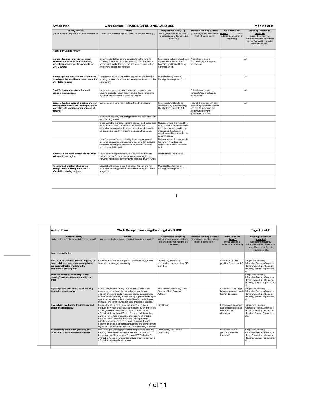| <b>Action Plan</b>                                                                                                                                 | Page #1 of 2<br>Work Group: FINANCING/FUNDING/LAND USE                                                                                                                                                                                 |                                                                                                                                                                               |                                                                                                                                              |                                                                             |                                                                                                                                                |
|----------------------------------------------------------------------------------------------------------------------------------------------------|----------------------------------------------------------------------------------------------------------------------------------------------------------------------------------------------------------------------------------------|-------------------------------------------------------------------------------------------------------------------------------------------------------------------------------|----------------------------------------------------------------------------------------------------------------------------------------------|-----------------------------------------------------------------------------|------------------------------------------------------------------------------------------------------------------------------------------------|
| <b>Priority Activity</b><br>(What is the activity we wish to recommend?)                                                                           | <b>Actions</b><br>(What are the key steps to make this activity a reality?)                                                                                                                                                            | Responsible Entity/Org.<br>(What governmental entities or<br>organizations will need to be<br>involved?)                                                                      | <b>Possible Funding Sources</b><br>(If funding is required where Know?<br>might it come from?)                                               | <b>What Don't We</b><br><b>What</b><br>additional research is<br>required?) | <b>Housing Continuum</b><br>Impacted<br>(Supportive Housing,<br>Affordable Rental, Affordable<br>Home Ownership, Special<br>Populations, etc.) |
| <b>Financing/Funding Activity</b>                                                                                                                  |                                                                                                                                                                                                                                        |                                                                                                                                                                               |                                                                                                                                              |                                                                             |                                                                                                                                                |
| Increase funding for predevelopment<br>expenses for local affordable housing<br>projects: more competitive projects for<br><b>LIHTC awards</b>     | Identify potential funders to contribute to the fund (it<br>currently stands at \$250K but goal is \$10-15M). Funder<br>possibilities: philanthropic organizations: corporate/kev<br>employers; banks; tax revenue                     | Key people to be involved: Sam Philanthropy; banks;<br>Clarke: Steve Posev: Eric<br>Leonard:City Council:County<br>Commissioners                                              | corporate/key employers;<br>tax revenue                                                                                                      |                                                                             | All                                                                                                                                            |
| Increase private activity bond volume and<br>investigate the local issuance of bonds for<br>affordable housing                                     | Long term objective to fund the expansion of affordable<br>housing to meet the economic development needs of the<br>community                                                                                                          | Municipalities (City and<br>County); housing champion                                                                                                                         |                                                                                                                                              |                                                                             | All                                                                                                                                            |
| Fund Technical Assistance for local<br>housing organizations                                                                                       | Increase capacity for local agencies to advance new<br>housing projects. Local nonprofits are the mechanisms<br>by which state support reaches our region                                                                              |                                                                                                                                                                               | Philanthropy: banks:<br>corporate/key employers;<br>tax revenue                                                                              |                                                                             | All                                                                                                                                            |
| Create a funding guide of existing and new<br>funding streams that include eligibility and<br>restrictions to leverage other sources of<br>fundina | Compile a complete list of different funding streams                                                                                                                                                                                   | Key experts/entities to be<br>involved: City (Steve Posey);<br>County (Eric Leonard); AHC                                                                                     | Federal; State, County; City;<br>Philanthropy (is more flexible<br>and can fill in/around the<br>bigger funding from<br>government entities) |                                                                             | All                                                                                                                                            |
|                                                                                                                                                    | Identify the eligiblity or funding restrictions asociated with<br>each funding source                                                                                                                                                  |                                                                                                                                                                               |                                                                                                                                              |                                                                             |                                                                                                                                                |
|                                                                                                                                                    | Make available this list of funding sources and associated<br>restrictions to organizations/entities interested in<br>affordable housing development. Note: it would have to<br>be updated regularly in order to be a useful resource. | Not sure where this would live.<br>Would need to be accessible to<br>the public. Would need to be<br>maintained. Existing AHC<br>website could be expanded to<br>accommodate. |                                                                                                                                              |                                                                             |                                                                                                                                                |
|                                                                                                                                                    | Identify a person/resource/entity to serve as a central<br>resource connecting organizations interested in pursuing<br>affordable housing developments to potential funding<br>sources, available land                                 | Not sure where this role would<br>live, and it would require<br>resources (i.e. not a volunteer<br>(job                                                                       |                                                                                                                                              |                                                                             |                                                                                                                                                |
| Incentivize and raise awareness of CDFIs<br>to invest in our region                                                                                | Low cost capital provided by the Treasury and private<br>institutions can finance new projects in our region.<br>However need local commitments to support CDFI funds                                                                  | local financial institutions                                                                                                                                                  |                                                                                                                                              |                                                                             |                                                                                                                                                |
| Recommend creation of sales tax<br>exemption on building materials for<br>affordable housing projects                                              | Establish LURA (Land Use Restrictive Agreement) for<br>affordable housing projects that take advantage of these<br>programs.                                                                                                           | Municipalities (City and<br>County); housing champion                                                                                                                         |                                                                                                                                              |                                                                             |                                                                                                                                                |
|                                                                                                                                                    |                                                                                                                                                                                                                                        |                                                                                                                                                                               |                                                                                                                                              |                                                                             |                                                                                                                                                |

1

|                                                                | <b>Action Plan</b>                                                                                                                                    | Work Group: Financing/Funding/LAND USE                                                                                                                                                                                                                                                                                                                                                                                                                                                                                          |                                                                                                                 |                                                                                          |                                                                                | Page # 2 of 2                                                                                                                                      |  |
|----------------------------------------------------------------|-------------------------------------------------------------------------------------------------------------------------------------------------------|---------------------------------------------------------------------------------------------------------------------------------------------------------------------------------------------------------------------------------------------------------------------------------------------------------------------------------------------------------------------------------------------------------------------------------------------------------------------------------------------------------------------------------|-----------------------------------------------------------------------------------------------------------------|------------------------------------------------------------------------------------------|--------------------------------------------------------------------------------|----------------------------------------------------------------------------------------------------------------------------------------------------|--|
|                                                                | <b>Priority Activity</b><br>(What is the activity we wish to recommend?)                                                                              | <b>Actions</b><br>(What are the key steps to make this activity a reality?)                                                                                                                                                                                                                                                                                                                                                                                                                                                     | <b>Responsible Entity/Org.</b><br>(What governmental entities or<br>organizations will need to be<br>involved?) | <b>Possible Funding Sources</b><br>(If funding is required where<br>might it come from?) | What Don't We<br>Know?<br>(What additional<br>research is required?)           | <b>Housing Continuum</b><br>Impacted<br>(Supportive Housing,<br>Affordable Rental, Affordable<br>Home Ownership, Special<br>Populations, etc.)     |  |
|                                                                | <b>Land Use Activities</b>                                                                                                                            |                                                                                                                                                                                                                                                                                                                                                                                                                                                                                                                                 |                                                                                                                 |                                                                                          |                                                                                |                                                                                                                                                    |  |
| Plan<br><b>Priority Activity</b><br>the activity we wish to re | Build a proactive resource for mapping of<br>land: public, school, abandoned private<br>properties (Pueblo model), faith,<br>commercial parking lots. | Knowledge of real estate, public databases, GIS, some<br>work with brokerage community                                                                                                                                                                                                                                                                                                                                                                                                                                          | City/county, real estate<br>community, higher ed (has GIS<br>expertise)                                         |                                                                                          | Where should this<br>position / team reside?                                   | Supportive Housing.<br>Affordable Rental, Affordable<br>Home Ownership, Attainable<br>Housing, Special Populations<br>etc.                         |  |
|                                                                | Evaluate potential to develop "land<br>banking" and increase community land<br>trust                                                                  |                                                                                                                                                                                                                                                                                                                                                                                                                                                                                                                                 |                                                                                                                 |                                                                                          |                                                                                | Supportive Housing,<br>Affordable Rental, Affordable<br>Home Ownership, Attainable<br>Housing, Special Populations,<br>etc.                        |  |
| ıg/Funding Activity<br>funding for predevelop                  | Expand production - build more housing<br>than otherwise feasible                                                                                     | Find available land through abandoned/condemned<br>properties, churches, city owned sites, public land<br>disposition, brownfield properties, garage conversions,<br>excess public/privately owned sites (i.e. parks/fields, open<br>space, equestrian centers, unused tennis courts, hotels,<br>schools), pre-foreclosures, tax sale properties, estates,                                                                                                                                                                      | Real Estate Community, City/<br>County, Urban Renewal<br>Authority                                              |                                                                                          | Other resources might<br>further discovery.                                    | Supportive Housing,<br>be an option and needs Affordable Rental, Affordable<br>Home Ownership, Attainable<br>Housing, Special Populations,<br>etc. |  |
| s for local affordable ho<br>funding guide of existir          | Diversifying production (optimal mix and<br>depth of affordability)                                                                                   | Knowledge of Linkage Fees, Inclusionary Housing<br>(Require new residential developments of 10 or more units<br>to designate between 8% and 12% of the units as<br>affordable), Incentivized Zoning (i.e taller buildings, less<br>parking, lower fees in exchange for adding affordable<br>housing units). Evaluate By-Right Development to<br>prioritize higher density multi-family housing through<br>uniform, codified, and consistent zoning and development<br>regulation. Evaluate shared/co-housing housing solutions. | City/County                                                                                                     |                                                                                          | Other incentives might<br>also be an option and<br>needs further<br>discovery. | Supportive Housing.<br>Affordable Rental, Affordable<br>Home Ownership, Attainable<br>Housing, Special Populations,<br>etc.                        |  |
| streams that include eli<br>ons to leverage other so           | Accelerating production (housing built<br>more quickly than otherwise feasible)                                                                       | Pre-entitle/pre-package properties by prepping land and<br>housing to be issued to developers and builders via<br>lottery/auction/Requests for Proposal (RFP) allotted for<br>affordable housing. Encourage Government to fast track<br>affordable housing developments.                                                                                                                                                                                                                                                        | City/County, Real estate<br>Community                                                                           |                                                                                          | What individual or<br>aroups should be<br>involved?                            | Supportive Housing,<br>Affordable Rental, Affordable<br>Home Ownership, Attainable<br>Housing, Special Populations<br>etc.                         |  |

affordable housing developments to potential funding sources, available land

job)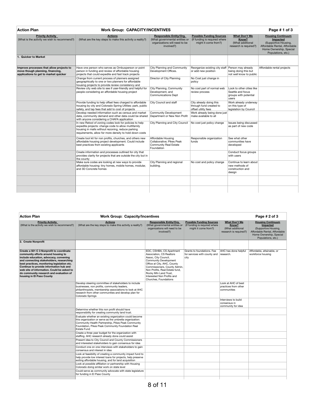| <b>Action Plan</b>                                                                                                    | <b>Work Group: CAPACITY/INCENTIVES</b>                                                                                                                                                                                         |                                                                                                                 |                                                                                          |                                                                                  | Page #1 of 3                                                                                                                                          |
|-----------------------------------------------------------------------------------------------------------------------|--------------------------------------------------------------------------------------------------------------------------------------------------------------------------------------------------------------------------------|-----------------------------------------------------------------------------------------------------------------|------------------------------------------------------------------------------------------|----------------------------------------------------------------------------------|-------------------------------------------------------------------------------------------------------------------------------------------------------|
| <b>Priority Activity</b><br>(What is the activity we wish to recommend?)                                              | <b>Actions</b><br>(What are the key steps to make this activity a reality?)                                                                                                                                                    | <b>Responsible Entity/Org.</b><br>(What governmental entities or<br>organizations will need to be<br>involved?) | <b>Possible Funding Sources</b><br>(If funding is required where<br>might it come from?) | <b>What Don't We</b><br>Know?<br>(What additional<br>research is required?)      | <b>Housing Continuum</b><br><b>Impacted</b><br>(Supportive Housing,<br>Affordable Rental, Affordable<br>Home Ownership, Special<br>Populations, etc.) |
| <b>Quicker to Market</b>                                                                                              |                                                                                                                                                                                                                                |                                                                                                                 |                                                                                          |                                                                                  |                                                                                                                                                       |
| Improve processes that allow projects to<br>move though planning, financing,<br>applications to get to market quicker | Have one person who serves as Ombusperson or point<br>person in funding and review of affordable housing<br>projects that could expedite and fast track projects                                                               | City Planning and Community<br>Development Offices.                                                             | Reorganize existing city staff Person may already<br>or add new position                 | being doing this but<br>not well know to public                                  | Affordable rental projects                                                                                                                            |
|                                                                                                                       | Change from current process of planners assigned<br>geographically to one or two planners for affordable<br>housing projects to provide review consistency and                                                                 | Director of City Planning                                                                                       | No Cost just change in<br>policy                                                         |                                                                                  |                                                                                                                                                       |
|                                                                                                                       | Review city web site to see if user-friendly and helpful for<br>people considering an affordable housing project                                                                                                               | City Planning, Community<br>Development, and<br><b>Communications Dept</b>                                      | No cost part of normal web<br>review process                                             | Look to other cities like<br>Seattle and focus<br>groups with potential<br>users |                                                                                                                                                       |
|                                                                                                                       | Provide funding to help offset fees charged to affordable<br>housing by city and Colorado Spring Utlities: park, public<br>safety, and tap fees that add to cost of projects                                                   | City Council and staff                                                                                          | City already doing this<br>through fund created to<br>offset utility fees                | Work already underway<br>on this type of<br>legislation by Council               |                                                                                                                                                       |
|                                                                                                                       | Develop needed information such as census and market<br>data, community demand and other data could be shared<br>with anyone considering a CHAFA application                                                                   | <b>Community Development</b><br>Department or New Non Profit                                                    | Work already being done just<br>make available to all                                    |                                                                                  |                                                                                                                                                       |
|                                                                                                                       | In new Retool of zoning codes look for policies to help<br>expedite projects: change code to allow multifamily<br>housing in malls without rezoning, reduce parking<br>requirements, allow for more density to hold down costs | City Planning and City Council                                                                                  | No cost just policy change                                                               | Issues being discussed<br>as part of new code                                    |                                                                                                                                                       |
|                                                                                                                       | Create tool kit for non profits, churches, and others new<br>affordable housing project development. Could include<br>best practices from existing applicants                                                                  | Affordable Housing<br>Collaborative: Pikes Peak<br><b>Community Real Estate</b><br>Foundation                   | Responsible organization<br>funds                                                        | See what other<br>communities have<br>developed                                  |                                                                                                                                                       |
|                                                                                                                       | Create information and processes outlined for city that<br>provides clarity for projects that are outside the city but in<br>the county                                                                                        |                                                                                                                 |                                                                                          | Conduct focus groups<br>with users                                               |                                                                                                                                                       |
|                                                                                                                       | Make sure codes are looking at new ways to provide<br>affordable housing: tiny homes, mobile homes, modular,<br>and 3D Concrete homes                                                                                          | City Planning and regional<br>buildina.                                                                         | No cost and policy change                                                                | Continue to learn about<br>new methods of<br>construction and<br>design          |                                                                                                                                                       |
|                                                                                                                       |                                                                                                                                                                                                                                |                                                                                                                 |                                                                                          |                                                                                  |                                                                                                                                                       |
|                                                                                                                       |                                                                                                                                                                                                                                |                                                                                                                 |                                                                                          |                                                                                  |                                                                                                                                                       |

| <b>Action Plan</b>                                                                                                                                                                                                                                                                                                                                                                    | <b>Work Group: Capacity/Incentives</b>                                                                                                                                                                                                             | Page # 2 of 3                                                                                                                                                                                                                                                                          |                                                                                          |                                                                             |                                                                                                                                                |
|---------------------------------------------------------------------------------------------------------------------------------------------------------------------------------------------------------------------------------------------------------------------------------------------------------------------------------------------------------------------------------------|----------------------------------------------------------------------------------------------------------------------------------------------------------------------------------------------------------------------------------------------------|----------------------------------------------------------------------------------------------------------------------------------------------------------------------------------------------------------------------------------------------------------------------------------------|------------------------------------------------------------------------------------------|-----------------------------------------------------------------------------|------------------------------------------------------------------------------------------------------------------------------------------------|
| <b>Priority Activity</b><br>(What is the activity we wish to recommend?)                                                                                                                                                                                                                                                                                                              | <b>Actions</b><br>(What are the key steps to make this activity a reality?)                                                                                                                                                                        | <b>Responsible Entity/Org.</b><br>(What governmental entities or<br>organizations will need to be<br>involved?)                                                                                                                                                                        | <b>Possible Funding Sources</b><br>(If funding is required where<br>might it come from?) | <b>What Don't We</b><br>Know?<br>(What additional<br>research is required?) | <b>Housing Continuum</b><br>Impacted<br>(Supportive Housing,<br>Affordable Rental, Affordable<br>Home Ownership, Special<br>Populations, etc.) |
| 2. Create Nonprofit                                                                                                                                                                                                                                                                                                                                                                   |                                                                                                                                                                                                                                                    |                                                                                                                                                                                                                                                                                        |                                                                                          |                                                                             |                                                                                                                                                |
| Create a 501 C 3 Nonprofit to coordinate<br>community efforts around housing to<br>include education, advocacy, convening<br>and connecting stakeholders, researching<br>best practices, monitoring legislation etc.<br>Continue to provide information hub and<br>web site of information. Could be asked to<br>do community research and evaluation of<br>housing in El Paso County |                                                                                                                                                                                                                                                    | EDC, CSHBA, CS Apartment<br>Association, CS Realtors<br>Assoc, City Council,<br>Community Development<br>Office at City, AHC, County<br>Commissioners, County Admin,<br>Non Profits. Real Estate fund.<br>Rocky Mtn Land Trust.<br>Interested Non Profits and<br>Churches, Foundations | Grants to foundations. Fee<br>for services with county and<br>city                       | AHC has done helpful<br>research.                                           | Affordable, attainable, or<br>workforce housing                                                                                                |
|                                                                                                                                                                                                                                                                                                                                                                                       | Develop steering committee of stakeholders to include<br>businesses, non profits, community leaders,<br>philanthropists, membership associations to look at AHC<br>research from other communities and develop plan for<br>Colorado Springs        |                                                                                                                                                                                                                                                                                        |                                                                                          | Look at AHC of best<br>practices from other<br>communities                  |                                                                                                                                                |
|                                                                                                                                                                                                                                                                                                                                                                                       |                                                                                                                                                                                                                                                    |                                                                                                                                                                                                                                                                                        |                                                                                          | Interviews to build<br>consensus in<br>community for idea                   |                                                                                                                                                |
|                                                                                                                                                                                                                                                                                                                                                                                       | Determine whether this non profit should have<br>responsibility for creating community land trust.                                                                                                                                                 |                                                                                                                                                                                                                                                                                        |                                                                                          |                                                                             |                                                                                                                                                |
|                                                                                                                                                                                                                                                                                                                                                                                       | Evaluate whether an existing organization could become<br>this organization or serve as the umbrella organization:<br>Community Health Partnership, Pikes Peak Community<br>Foundation, Pikes Peak Community Foundation Real<br><b>Estate Fund</b> |                                                                                                                                                                                                                                                                                        |                                                                                          |                                                                             |                                                                                                                                                |
|                                                                                                                                                                                                                                                                                                                                                                                       | Create a three year budget for the organization with<br>staffing. AHC research already done could assist                                                                                                                                           |                                                                                                                                                                                                                                                                                        |                                                                                          |                                                                             |                                                                                                                                                |
|                                                                                                                                                                                                                                                                                                                                                                                       | Present idea to City Council and County Commissioners<br>and interested stakeholders to gain consensus for idea                                                                                                                                    |                                                                                                                                                                                                                                                                                        |                                                                                          |                                                                             |                                                                                                                                                |
|                                                                                                                                                                                                                                                                                                                                                                                       | Conduct one on one interviews with stakeholders to gain<br>consensus and interest in idea                                                                                                                                                          |                                                                                                                                                                                                                                                                                        |                                                                                          |                                                                             |                                                                                                                                                |
|                                                                                                                                                                                                                                                                                                                                                                                       | Look at feasibility of creating a community impact fund to<br>help provide low interest loans for projects, help preserve<br>exiting affordable housing, and for land acquisition                                                                  |                                                                                                                                                                                                                                                                                        |                                                                                          |                                                                             |                                                                                                                                                |
|                                                                                                                                                                                                                                                                                                                                                                                       | Look at possible affiliation or partnership with Housing<br>Colorado doing similar work on state level                                                                                                                                             |                                                                                                                                                                                                                                                                                        |                                                                                          |                                                                             |                                                                                                                                                |
|                                                                                                                                                                                                                                                                                                                                                                                       | Could serve as community advocate with state legislature<br>for funding in El Paso County                                                                                                                                                          |                                                                                                                                                                                                                                                                                        |                                                                                          |                                                                             |                                                                                                                                                |
|                                                                                                                                                                                                                                                                                                                                                                                       |                                                                                                                                                                                                                                                    |                                                                                                                                                                                                                                                                                        |                                                                                          |                                                                             |                                                                                                                                                |

8 of 11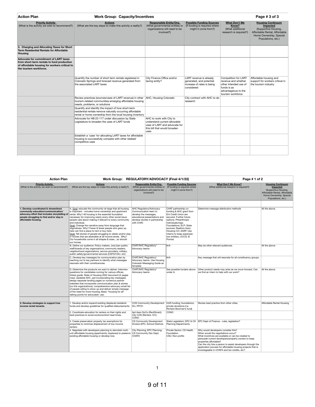| <b>Action Plan</b>                                                                                                                                             | <b>Work Group: Capacity/Incentives</b>                                                                                                                                       |                                                                                                                                   | Page #3 of 3                                                                                    |                                                                                                                                 |                                                                                                                                                       |
|----------------------------------------------------------------------------------------------------------------------------------------------------------------|------------------------------------------------------------------------------------------------------------------------------------------------------------------------------|-----------------------------------------------------------------------------------------------------------------------------------|-------------------------------------------------------------------------------------------------|---------------------------------------------------------------------------------------------------------------------------------|-------------------------------------------------------------------------------------------------------------------------------------------------------|
| <b>Priority Activity</b><br>(What is the activity we wish to recommend?)                                                                                       | <b>Actions</b><br>(What are the key steps to make this activity a reality?)                                                                                                  | <b>Responsible Entity/Org.</b><br>(What governmental entities or<br>organizations will need to be<br>involved?)                   | <b>Possible Funding Sources</b><br>(If funding is required where<br>might it come from?)        | What Don't We<br>Know?<br>(What additional<br>research is required?)                                                            | <b>Housing Continuum</b><br><b>Impacted</b><br>(Supportive Housing,<br>Affordable Rental, Affordable<br>Home Ownership, Special<br>Populations, etc.) |
| 3. Charging and Allocating Taxes for Short<br><b>Term Residential Rentals for Affordable</b><br>Housing                                                        |                                                                                                                                                                              |                                                                                                                                   |                                                                                                 |                                                                                                                                 |                                                                                                                                                       |
| Advocate for commitment of LART taxes<br>from short-term rentals to fund production<br>of affordable housing for workers critical to<br>the tourism workforce. |                                                                                                                                                                              |                                                                                                                                   |                                                                                                 |                                                                                                                                 |                                                                                                                                                       |
|                                                                                                                                                                | Quantify the number of short term rentals registered in<br>Colorado Springs and forecast revenue generated from<br>the associated LART taxes                                 | City Finance Office and/or<br>taxing entity?                                                                                      | LART revenue is already<br>generated, and potential<br>increase of rates is being<br>considered | Competition for LART<br>revenue and whether<br>other intended use of<br>funds is as<br>advantageous to the<br>tourism workforce | Affordable housing and<br>support for workers critical in<br>the tourism industry                                                                     |
|                                                                                                                                                                | Review practices (sources/uses of LART revenue) in other   AHC, Housing Colorado<br>tourism-related communities emerging affordable housing<br>needs, problems, or solutions |                                                                                                                                   | City contract with AHC to do<br>research                                                        |                                                                                                                                 |                                                                                                                                                       |
|                                                                                                                                                                | Quantify and identify the impact of how short-term<br>residential rentals remove naturally occurring affordable<br>rental or home ownership from the local housing inventory |                                                                                                                                   |                                                                                                 |                                                                                                                                 |                                                                                                                                                       |
|                                                                                                                                                                | Advocate for HB 22-117 under discussion by State<br>Legislature to broaden the uses of LART funds                                                                            | AHC to work with City to<br>understand current allowable<br>uses of LART and advocate for<br>this bill that would broaden<br>uses |                                                                                                 |                                                                                                                                 |                                                                                                                                                       |
|                                                                                                                                                                | Establish a 'case' for allocating LART taxes for affordable<br>housing to successfully compete with other related/<br>competitive uses                                       |                                                                                                                                   |                                                                                                 |                                                                                                                                 |                                                                                                                                                       |
|                                                                                                                                                                |                                                                                                                                                                              |                                                                                                                                   |                                                                                                 |                                                                                                                                 |                                                                                                                                                       |

| <b>Action Plan</b>                                                                                                                            |                                                                                                                                                                                                                                                                                                                                                                                                                                                                                                                                                                                                                                                                                                                           | Work Group: REGULATORY/ADVOCACY (Final 4/1/22)                                                                                                             |                                                                                                                                                                                                                                                                                                           | Page #1 of 2                                                                                                                                                                                                                                                                                                                                                                                  |                                                                                                                                                |
|-----------------------------------------------------------------------------------------------------------------------------------------------|---------------------------------------------------------------------------------------------------------------------------------------------------------------------------------------------------------------------------------------------------------------------------------------------------------------------------------------------------------------------------------------------------------------------------------------------------------------------------------------------------------------------------------------------------------------------------------------------------------------------------------------------------------------------------------------------------------------------------|------------------------------------------------------------------------------------------------------------------------------------------------------------|-----------------------------------------------------------------------------------------------------------------------------------------------------------------------------------------------------------------------------------------------------------------------------------------------------------|-----------------------------------------------------------------------------------------------------------------------------------------------------------------------------------------------------------------------------------------------------------------------------------------------------------------------------------------------------------------------------------------------|------------------------------------------------------------------------------------------------------------------------------------------------|
| <b>Priority Activity</b><br>(What is the activity we wish to recommend?)                                                                      | <b>Actions</b><br>(What are the key steps to make this activity a reality?)                                                                                                                                                                                                                                                                                                                                                                                                                                                                                                                                                                                                                                               | <b>Responsible Entity/Org.</b><br>(What governmental entities or<br>organizations will need to be<br>involved?)                                            | <b>Possible Funding Sources</b><br>(If funding is required where<br>might it come from?)                                                                                                                                                                                                                  | <b>What Don't We Know?</b><br>(What additional research is required?)                                                                                                                                                                                                                                                                                                                         | <b>Housing Continuum</b><br>Impacted<br>(Supportive Housing,<br>Affordable Rental, Affordable<br>Home Ownership, Special<br>Populations, etc.) |
|                                                                                                                                               |                                                                                                                                                                                                                                                                                                                                                                                                                                                                                                                                                                                                                                                                                                                           |                                                                                                                                                            |                                                                                                                                                                                                                                                                                                           |                                                                                                                                                                                                                                                                                                                                                                                               |                                                                                                                                                |
| 1. Develop coordinated & streamlined<br>community education/communication/<br>people struggling to find and/or stay in<br>affordable housing. | A. Goal: educate the community-at-large that all housing<br>is important - includes home ownership and apartment<br>advocacy effort that includes storytelling of rental. Why? All housing is the essential foundation<br>necessary for improving nearly every other social issue<br>people care about making it relevant to every community<br>and individual.<br>Goal: Change the narrative away from language that<br>stigmatizes. Why? Fewer & fewer people who grew up<br>here can find a place to rent or buy here.<br>Goal: Tell stories of people struggling to obtain and/or stay<br>in homes that are attainable at all income levels. Why?<br>Our households come in all shapes & sizesso should<br>our homes. | AHC Regulatory/Advocacy<br>Communication team to<br>develop the messages.<br>educational presentations and<br>develop stories in partnership<br>with CHAT. | CHAT partnership co-<br>funding & AHC grant from<br><b>Ent Credit Union are</b><br>secured. Further future<br>options: Philanthropic<br>individuals/orgs;<br>Foundations: ELP: State<br>sources: Realtors Assn:<br>Housing CO; AARP. Use<br>interns to keep expenses<br>low (military: UCCS: El<br>Pomar) | Determine message distribution methods                                                                                                                                                                                                                                                                                                                                                        | All the above.                                                                                                                                 |
|                                                                                                                                               | B. Define our audience: Policy makers; Joe/Joan public;<br>staff/boards of key organizations; community leaders;<br>neighborhood organizations; service providers; military;<br>public safety/governmental services (CSFD/CSU, etc)                                                                                                                                                                                                                                                                                                                                                                                                                                                                                       | CHAT/AHC Regulatory/<br>Advocacy teams                                                                                                                     | N/A                                                                                                                                                                                                                                                                                                       | May be other relevant audiences.                                                                                                                                                                                                                                                                                                                                                              | All the above.                                                                                                                                 |
|                                                                                                                                               | C. Develop key messages for communication plan by<br>reaching out to key partners to identify what messages<br>resonate with their constituencies.                                                                                                                                                                                                                                                                                                                                                                                                                                                                                                                                                                        | CHAT/AHC Regulatory/<br>Advocacy teams. Use Housing<br>Colorado Messaging Guide as<br>template.                                                            | N/A                                                                                                                                                                                                                                                                                                       | Key message that will resonate for all constituency groups.                                                                                                                                                                                                                                                                                                                                   |                                                                                                                                                |
|                                                                                                                                               | D. Determine the products we want to deliver: Interview<br>questions for candidates running for various offices;<br>Voters quide; State of Housing 2022 document (2 pages<br>max): Updated AHC .ppt incorporating key messages:<br>design separate landing pages on numerous partner<br>websites that incorporate communication plan & stories<br>(co-link organizations); comprehensive advocacy email list<br>of people willing to show up and deliver simple message<br>of the need for more housing; Basic "housing for all"<br>talking points for advocates' use;                                                                                                                                                    | CHAT/AHC Regulatory/<br>Advocacy teams                                                                                                                     | See possible funders above<br>under A.                                                                                                                                                                                                                                                                    | Other product needs may arise as we move forward. Can<br>we find an intern to help with our work?                                                                                                                                                                                                                                                                                             | All the above.                                                                                                                                 |
|                                                                                                                                               |                                                                                                                                                                                                                                                                                                                                                                                                                                                                                                                                                                                                                                                                                                                           |                                                                                                                                                            |                                                                                                                                                                                                                                                                                                           |                                                                                                                                                                                                                                                                                                                                                                                               |                                                                                                                                                |
| 2. Develop strategies to support low<br>income rental tenants.                                                                                | 1. Develop and/or expand existing displaced residents<br>funds and develop quidelines for qualified disbursements.                                                                                                                                                                                                                                                                                                                                                                                                                                                                                                                                                                                                        | COS Community Development HUD funding: foundations:<br>Div: PPCF:                                                                                          | private donations (I.e.<br>Richard Skorman's fund)                                                                                                                                                                                                                                                        | Review best practice from other cities.                                                                                                                                                                                                                                                                                                                                                       | Affordable Rental Housing                                                                                                                      |
|                                                                                                                                               | 2. Coordinate education for renters on their rights and<br>best practices to avoid evictions/short lead times.                                                                                                                                                                                                                                                                                                                                                                                                                                                                                                                                                                                                            | Apt Assn SoCo (RentSmart);<br>City COS (Renters 101);<br>CONO                                                                                              | CONO                                                                                                                                                                                                                                                                                                      |                                                                                                                                                                                                                                                                                                                                                                                               |                                                                                                                                                |
|                                                                                                                                               | 3. Create preservation property tax exemptions for<br>properties to minimize displacement of low-income<br>renters.                                                                                                                                                                                                                                                                                                                                                                                                                                                                                                                                                                                                       | CS Community Development<br>Division; EPC; School Districts                                                                                                | <b>Planning Departments</b>                                                                                                                                                                                                                                                                               | State Legislation; EPC & CS EPC Dept of Finance - rules, legislation?                                                                                                                                                                                                                                                                                                                         |                                                                                                                                                |
|                                                                                                                                               | 4. Negotiate with developers planning to demolish multi-<br>unit affordable housing (apartments; duplexes) to preserve<br>existing affordable housing or develop new.                                                                                                                                                                                                                                                                                                                                                                                                                                                                                                                                                     | City Planning: EPC Planning:<br>CS Community Dev Dept:<br><b>CHAFA</b>                                                                                     | Private Sector: CS Health<br>Foundation<br>CSU; Non profits                                                                                                                                                                                                                                               | Why would developers consider this?<br>When would the negotiations occur?<br>What incentives are available or can be created to<br>persuade current developers/property owners to keep<br>properties affordable?<br>Can the city hire a person to assist developers through the<br>application process for affordable housing projects that is<br>knowlegeable in CHAFA and tax credits, etc? |                                                                                                                                                |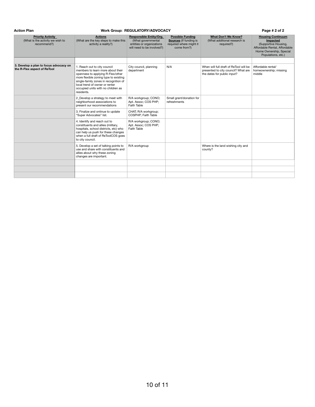#### Action Plan **Page # 2 of 2** Work Group: REGULATORY/ADVOCACY **Page # 2 of 2 Page # 2 of 2**

| <b>Priority Activity</b><br>(What is the activity we wish to<br>recommend?) | <b>Actions</b><br>(What are the key steps to make this<br>activity a reality?)                                                                                                                                                                                                 | Responsible Entity/Org.<br>(What governmental<br>entities or organizations<br>will need to be involved?) | <b>Possible Funding</b><br><b>Sources</b> (If funding is<br>required where might it<br>come from?) | What Don't We Know?<br>(What additional research is<br>required?)                                            | <b>Housing Continuum</b><br>Impacted<br>(Supportive Housing,<br>Affordable Rental, Affordable<br>Home Ownership, Special<br>Populations, etc.) |
|-----------------------------------------------------------------------------|--------------------------------------------------------------------------------------------------------------------------------------------------------------------------------------------------------------------------------------------------------------------------------|----------------------------------------------------------------------------------------------------------|----------------------------------------------------------------------------------------------------|--------------------------------------------------------------------------------------------------------------|------------------------------------------------------------------------------------------------------------------------------------------------|
|                                                                             |                                                                                                                                                                                                                                                                                |                                                                                                          |                                                                                                    |                                                                                                              |                                                                                                                                                |
| 3. Develop a plan to focus advocacy on<br>the R-Flex aspect of ReTool       | 1. Reach out to city council<br>members to learn more about their<br>openness to applying R-Flex/other<br>more flexible zoning type to existing<br>single-family zones in recognition of<br>local trend of owner or renter<br>occupied units with no children as<br>residents. | City council, planning<br>department                                                                     | N/A                                                                                                | When will full draft of ReTool will be<br>presented to city council? What are<br>the dates for public input? | Affordable rental/<br>homeownership; missing<br>middle                                                                                         |
|                                                                             | 2. Develop a strategy to meet with<br>neighborhood associations to<br>present our recommendations                                                                                                                                                                              | R/A workgroup; CONO;<br>Apt. Assoc; COS PHP;<br>Faith Table                                              | Small grant/donation for<br>refreshments                                                           |                                                                                                              |                                                                                                                                                |
|                                                                             | 3. Finalize and ontinue to update<br>"Super Advocates" list.                                                                                                                                                                                                                   | CHAT; R/A workgroup;<br>COSPHP: Faith Table                                                              |                                                                                                    |                                                                                                              |                                                                                                                                                |
|                                                                             | 4. Identify and reach out to<br>constituents and allies (military,<br>hospitals, school districts, etc) who<br>can help us push for these changes<br>when a full draft of ReToolCOS goes<br>to city council.                                                                   | R/A workgroup; CONO;<br>Apt. Assoc; COS PHP;<br>Faith Table                                              |                                                                                                    |                                                                                                              |                                                                                                                                                |
|                                                                             | 5. Develop a set of talking points to<br>use and share with constituents and<br>allies about why these zoning<br>changes are important.                                                                                                                                        | R/A workgroup                                                                                            |                                                                                                    | Where is the land wishing city and<br>county?                                                                |                                                                                                                                                |
|                                                                             |                                                                                                                                                                                                                                                                                |                                                                                                          |                                                                                                    |                                                                                                              |                                                                                                                                                |
|                                                                             |                                                                                                                                                                                                                                                                                |                                                                                                          |                                                                                                    |                                                                                                              |                                                                                                                                                |
|                                                                             |                                                                                                                                                                                                                                                                                |                                                                                                          |                                                                                                    |                                                                                                              |                                                                                                                                                |